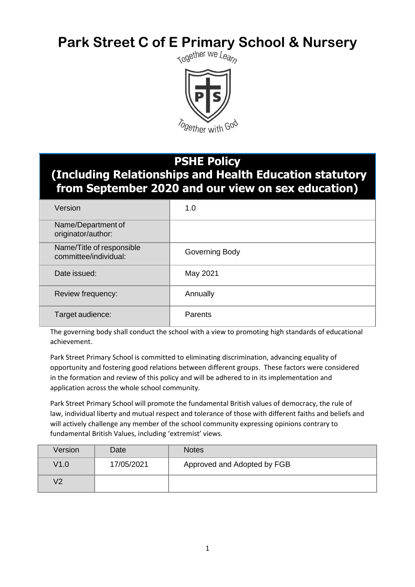# **Park Street C of E Primary School & Nursery**<br> **Rark Street C of E Primary School & Nursery**



# **PSHE Policy**

**(Including Relationships and Health Education statutory from September 2020 and our view on sex education)** 

| Version                                            | 1.0            |
|----------------------------------------------------|----------------|
| Name/Department of<br>originator/author:           |                |
| Name/Title of responsible<br>committee/individual: | Governing Body |
| Date issued:                                       | May 2021       |
| Review frequency:                                  | Annually       |
| Target audience:                                   | <b>Parents</b> |

The governing body shall conduct the school with a view to promoting high standards of educational achievement.

Park Street Primary School is committed to eliminating discrimination, advancing equality of opportunity and fostering good relations between different groups. These factors were considered in the formation and review of this policy and will be adhered to in its implementation and application across the whole school community.

Park Street Primary School will promote the fundamental British values of democracy, the rule of law, individual liberty and mutual respect and tolerance of those with different faiths and beliefs and will actively challenge any member of the school community expressing opinions contrary to fundamental British Values, including 'extremist' views.

| Version        | Date       | <b>Notes</b>                |
|----------------|------------|-----------------------------|
| V1.0           | 17/05/2021 | Approved and Adopted by FGB |
| V <sub>2</sub> |            |                             |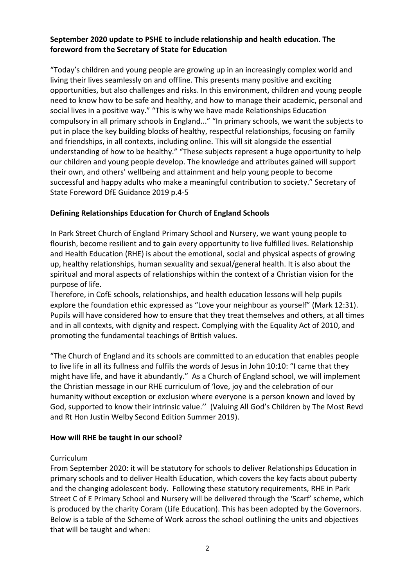# **September 2020 update to PSHE to include relationship and health education. The foreword from the Secretary of State for Education**

"Today's children and young people are growing up in an increasingly complex world and living their lives seamlessly on and offline. This presents many positive and exciting opportunities, but also challenges and risks. In this environment, children and young people need to know how to be safe and healthy, and how to manage their academic, personal and social lives in a positive way." "This is why we have made Relationships Education compulsory in all primary schools in England..." "In primary schools, we want the subjects to put in place the key building blocks of healthy, respectful relationships, focusing on family and friendships, in all contexts, including online. This will sit alongside the essential understanding of how to be healthy." "These subjects represent a huge opportunity to help our children and young people develop. The knowledge and attributes gained will support their own, and others' wellbeing and attainment and help young people to become successful and happy adults who make a meaningful contribution to society." Secretary of State Foreword DfE Guidance 2019 p.4-5

# **Defining Relationships Education for Church of England Schools**

In Park Street Church of England Primary School and Nursery, we want young people to flourish, become resilient and to gain every opportunity to live fulfilled lives. Relationship and Health Education (RHE) is about the emotional, social and physical aspects of growing up, healthy relationships, human sexuality and sexual/general health. It is also about the spiritual and moral aspects of relationships within the context of a Christian vision for the purpose of life.

Therefore, in CofE schools, relationships, and health education lessons will help pupils explore the foundation ethic expressed as "Love your neighbour as yourself" (Mark 12:31). Pupils will have considered how to ensure that they treat themselves and others, at all times and in all contexts, with dignity and respect. Complying with the Equality Act of 2010, and promoting the fundamental teachings of British values.

"The Church of England and its schools are committed to an education that enables people to live life in all its fullness and fulfils the words of Jesus in John 10:10: "I came that they might have life, and have it abundantly." As a Church of England school, we will implement the Christian message in our RHE curriculum of 'love, joy and the celebration of our humanity without exception or exclusion where everyone is a person known and loved by God, supported to know their intrinsic value.'' (Valuing All God's Children by The Most Revd and Rt Hon Justin Welby Second Edition Summer 2019).

### **How will RHE be taught in our school?**

### **Curriculum**

From September 2020: it will be statutory for schools to deliver Relationships Education in primary schools and to deliver Health Education, which covers the key facts about puberty and the changing adolescent body. Following these statutory requirements, RHE in Park Street C of E Primary School and Nursery will be delivered through the 'Scarf' scheme, which is produced by the charity Coram (Life Education). This has been adopted by the Governors. Below is a table of the Scheme of Work across the school outlining the units and objectives that will be taught and when: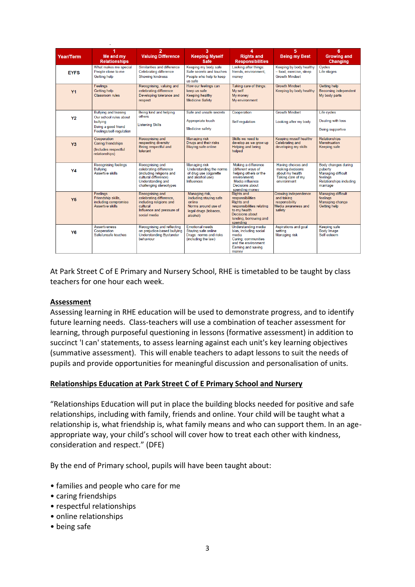|                | 4                                                                                                                    | $\overline{2}$                                                                                                                                              | 3                                                                                                                  | 4                                                                                                                                                                       | 5                                                                                             | 6                                                                                                                            |
|----------------|----------------------------------------------------------------------------------------------------------------------|-------------------------------------------------------------------------------------------------------------------------------------------------------------|--------------------------------------------------------------------------------------------------------------------|-------------------------------------------------------------------------------------------------------------------------------------------------------------------------|-----------------------------------------------------------------------------------------------|------------------------------------------------------------------------------------------------------------------------------|
| Year/Term      | Me and my<br><b>Relationships</b>                                                                                    | <b>Valuing Difference</b>                                                                                                                                   | <b>Keeping Myself</b><br><b>Safe</b>                                                                               | <b>Rights and</b><br><b>Responsibilities</b>                                                                                                                            | <b>Being my Best</b>                                                                          | <b>Growing and</b><br>Changing                                                                                               |
| <b>EYFS</b>    | What makes me special<br>People close to me<br><b>Getting help</b>                                                   | Similarities and difference<br>Celebrating difference<br><b>Showing kindness</b>                                                                            | Keeping my body safe<br>Safe secrets and touches<br>People who help to keep<br>us safe                             | Looking after things:<br>friends, environment,<br>money                                                                                                                 | Keeping by body healthy<br>- food, exercise, sleep<br><b>Growth Mindset</b>                   | Cycles<br>Life stages                                                                                                        |
| <b>Y1</b>      | Feelings<br>Getting help<br><b>Classroom</b> rules                                                                   | Recognising, valuing and<br>celebrating difference<br>Developing tolerance and<br>respect                                                                   | How our feelings can<br>keep us safe<br>Keeping healthy<br><b>Medicine Safety</b>                                  | Taking care of things:<br>My self<br>My money<br>My environment                                                                                                         | <b>Growth Mindset</b><br>Keeping by body healthy                                              | <b>Getting help</b><br><b>Becoming independent</b><br>My body parts                                                          |
| <b>Y2</b>      | <b>Bullying and teasing</b><br>Our school rules about<br>bullving<br>Being a good friend<br>Feelings/self-regulation | Being kind and helping<br>others<br><b>Listening Skills</b>                                                                                                 | Safe and unsafe secrets<br>Appropriate touch<br><b>Medicine safety</b>                                             | Cooperation<br>Self-regulation                                                                                                                                          | <b>Growth Mindset</b><br>Looking after my body                                                | Life cycles<br><b>Dealing with loss</b><br><b>Being supportive</b>                                                           |
| Y <sub>3</sub> | Cooperation<br>Caring friendships<br>(Includes respectful<br>relationships)                                          | <b>Recognising and</b><br>respecting diversity<br>Being respectful and<br>tolerant                                                                          | <b>Managing risk</b><br>Drugs and their risks<br>Staying safe online                                               | Skills we need to<br>develop as we grow up<br>Helping and being<br>helped                                                                                               | <b>Keeping myself healthy</b><br>Celebrating and<br>developing my skills                      | <b>Relationships</b><br><b>Menstruation</b><br><b>Keeping safe</b>                                                           |
| Y4             | <b>Recognising feelings</b><br><b>Bullving</b><br><b>Assertive skills</b>                                            | <b>Recognising and</b><br>celebrating difference<br>(including religions and<br>cultural difference)<br><b>Understanding and</b><br>challenging stereotypes | <b>Managing risk</b><br>Understanding the norms<br>of drug use (cigarette<br>and alcohol use)<br><b>Influences</b> | Making a difference<br>(different ways of<br>helping others or the<br>environment)<br>Media influence<br>Decisions about<br>spending money                              | Having choices and<br>making decisions<br>about my health<br>Taking care of my<br>environment | <b>Body changes during</b><br>puberty<br><b>Managing difficult</b><br>feelings<br><b>Relationships including</b><br>marriage |
| <b>Y5</b>      | Feelings<br>Friendship skills.<br>including compromise<br>Assertive skills                                           | Recognising and<br>celebrating difference.<br>including religions and<br>cultural<br>Influence and pressure of<br>social media                              | Managing risk,<br>including staving safe<br>online<br>Norms around use of<br>legal drugs (tobacco,<br>alcohol)     | <b>Rights and</b><br>responsibilities<br><b>Rights and</b><br>responsibilities relating<br>to my health<br><b>Decisions about</b><br>lending, borrowing and<br>spending | Growing independence<br>and taking<br>responsibility<br>Media awareness and<br>safety         | <b>Managing difficult</b><br>feelings<br>Managing change<br><b>Getting help</b>                                              |
| Y6             | <b>Assertiveness</b><br>Cooperation<br>Safe/unsafe touches                                                           | Recognising and reflecting<br>on prejudice-based bullying<br><b>Understanding Bystander</b><br>behaviour                                                    | <b>Emotional needs</b><br>Staving safe online<br>Drugs: norms and risks<br>(including the law)                     | <b>Understanding media</b><br>bias, including social<br>media<br>Caring: communities<br>and the environment<br>Earning and saving<br>money                              | Aspirations and goal<br>setting<br><b>Managing risk</b>                                       | <b>Keeping safe</b><br><b>Body Image</b><br>Self esteem                                                                      |

At Park Street C of E Primary and Nursery School, RHE is timetabled to be taught by class teachers for one hour each week.

### **Assessment**

Assessing learning in RHE education will be used to demonstrate progress, and to identify future learning needs. Class-teachers will use a combination of teacher assessment for learning, through purposeful questioning in lessons (formative assessment) in addition to succinct 'I can' statements, to assess learning against each unit's key learning objectives (summative assessment). This will enable teachers to adapt lessons to suit the needs of pupils and provide opportunities for meaningful discussion and personalisation of units.

# **Relationships Education at Park Street C of E Primary School and Nursery**

"Relationships Education will put in place the building blocks needed for positive and safe relationships, including with family, friends and online. Your child will be taught what a relationship is, what friendship is, what family means and who can support them. In an ageappropriate way, your child's school will cover how to treat each other with kindness, consideration and respect." (DFE)

By the end of Primary school, pupils will have been taught about:

- families and people who care for me
- caring friendships
- respectful relationships
- online relationships
- being safe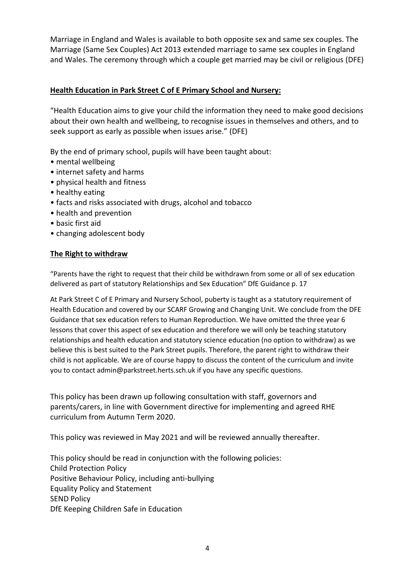Marriage in England and Wales is available to both opposite sex and same sex couples. The Marriage (Same Sex Couples) Act 2013 extended marriage to same sex couples in England and Wales. The ceremony through which a couple get married may be civil or religious (DFE)

# **Health Education in Park Street C of E Primary School and Nursery:**

"Health Education aims to give your child the information they need to make good decisions about their own health and wellbeing, to recognise issues in themselves and others, and to seek support as early as possible when issues arise." (DFE)

By the end of primary school, pupils will have been taught about:

- mental wellbeing
- internet safety and harms
- physical health and fitness
- healthy eating
- facts and risks associated with drugs, alcohol and tobacco
- health and prevention
- basic first aid
- changing adolescent body

# **The Right to withdraw**

"Parents have the right to request that their child be withdrawn from some or all of sex education delivered as part of statutory Relationships and Sex Education" DfE Guidance p. 17

At Park Street C of E Primary and Nursery School, puberty is taught as a statutory requirement of Health Education and covered by our SCARF Growing and Changing Unit. We conclude from the DFE Guidance that sex education refers to Human Reproduction. We have omitted the three year 6 lessons that cover this aspect of sex education and therefore we will only be teaching statutory relationships and health education and statutory science education (no option to withdraw) as we believe this is best suited to the Park Street pupils. Therefore, the parent right to withdraw their child is not applicable. We are of course happy to discuss the content of the curriculum and invite you to contact admin@parkstreet.herts.sch.uk if you have any specific questions.

This policy has been drawn up following consultation with staff, governors and parents/carers, in line with Government directive for implementing and agreed RHE curriculum from Autumn Term 2020.

This policy was reviewed in May 2021 and will be reviewed annually thereafter.

This policy should be read in conjunction with the following policies: Child Protection Policy Positive Behaviour Policy, including anti-bullying Equality Policy and Statement SEND Policy DfE Keeping Children Safe in Education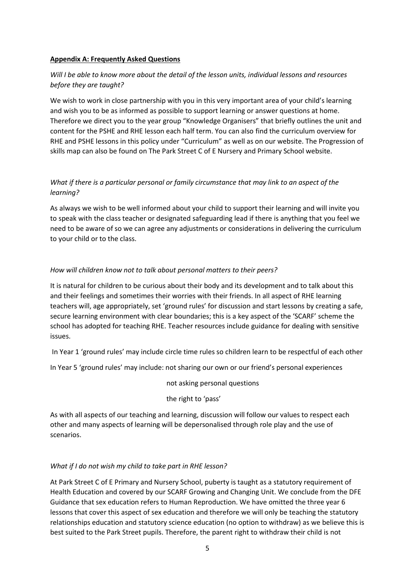#### **Appendix A: Frequently Asked Questions**

# *Will I be able to know more about the detail of the lesson units, individual lessons and resources before they are taught?*

We wish to work in close partnership with you in this very important area of your child's learning and wish you to be as informed as possible to support learning or answer questions at home. Therefore we direct you to the year group "Knowledge Organisers" that briefly outlines the unit and content for the PSHE and RHE lesson each half term. You can also find the curriculum overview for RHE and PSHE lessons in this policy under "Curriculum" as well as on our website. The Progression of skills map can also be found on The Park Street C of E Nursery and Primary School website.

# *What if there is a particular personal or family circumstance that may link to an aspect of the learning?*

As always we wish to be well informed about your child to support their learning and will invite you to speak with the class teacher or designated safeguarding lead if there is anything that you feel we need to be aware of so we can agree any adjustments or considerations in delivering the curriculum to your child or to the class.

#### *How will children know not to talk about personal matters to their peers?*

It is natural for children to be curious about their body and its development and to talk about this and their feelings and sometimes their worries with their friends. In all aspect of RHE learning teachers will, age appropriately, set 'ground rules' for discussion and start lessons by creating a safe, secure learning environment with clear boundaries; this is a key aspect of the 'SCARF' scheme the school has adopted for teaching RHE. Teacher resources include guidance for dealing with sensitive issues.

In Year 1 'ground rules' may include circle time rules so children learn to be respectful of each other

In Year 5 'ground rules' may include: not sharing our own or our friend's personal experiences

not asking personal questions

the right to 'pass'

As with all aspects of our teaching and learning, discussion will follow our values to respect each other and many aspects of learning will be depersonalised through role play and the use of scenarios.

### *What if I do not wish my child to take part in RHE lesson?*

At Park Street C of E Primary and Nursery School, puberty is taught as a statutory requirement of Health Education and covered by our SCARF Growing and Changing Unit. We conclude from the DFE Guidance that sex education refers to Human Reproduction. We have omitted the three year 6 lessons that cover this aspect of sex education and therefore we will only be teaching the statutory relationships education and statutory science education (no option to withdraw) as we believe this is best suited to the Park Street pupils. Therefore, the parent right to withdraw their child is not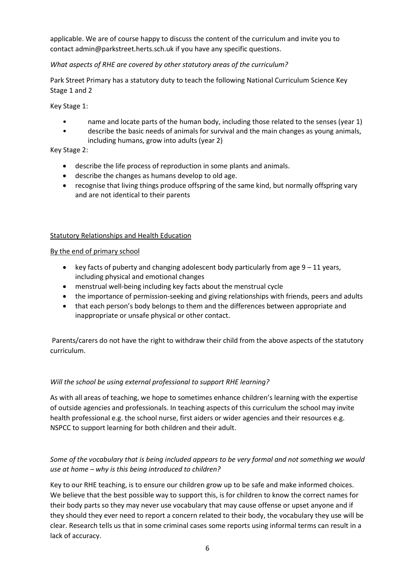applicable. We are of course happy to discuss the content of the curriculum and invite you to contact admin@parkstreet.herts.sch.uk if you have any specific questions.

# *What aspects of RHE are covered by other statutory areas of the curriculum?*

Park Street Primary has a statutory duty to teach the following National Curriculum Science Key Stage 1 and 2

Key Stage 1:

- name and locate parts of the human body, including those related to the senses (year 1)
- describe the basic needs of animals for survival and the main changes as young animals, including humans, grow into adults (year 2)

Key Stage 2:

- describe the life process of reproduction in some plants and animals.
- describe the changes as humans develop to old age.
- recognise that living things produce offspring of the same kind, but normally offspring vary and are not identical to their parents

### Statutory Relationships and Health Education

#### By the end of primary school

- key facts of puberty and changing adolescent body particularly from age  $9 11$  years, including physical and emotional changes
- menstrual well-being including key facts about the menstrual cycle
- the importance of permission-seeking and giving relationships with friends, peers and adults
- that each person's body belongs to them and the differences between appropriate and inappropriate or unsafe physical or other contact.

Parents/carers do not have the right to withdraw their child from the above aspects of the statutory curriculum.

### *Will the school be using external professional to support RHE learning?*

As with all areas of teaching, we hope to sometimes enhance children's learning with the expertise of outside agencies and professionals. In teaching aspects of this curriculum the school may invite health professional e.g. the school nurse, first aiders or wider agencies and their resources e.g. NSPCC to support learning for both children and their adult.

# *Some of the vocabulary that is being included appears to be very formal and not something we would use at home – why is this being introduced to children?*

Key to our RHE teaching, is to ensure our children grow up to be safe and make informed choices. We believe that the best possible way to support this, is for children to know the correct names for their body parts so they may never use vocabulary that may cause offense or upset anyone and if they should they ever need to report a concern related to their body, the vocabulary they use will be clear. Research tells us that in some criminal cases some reports using informal terms can result in a lack of accuracy.